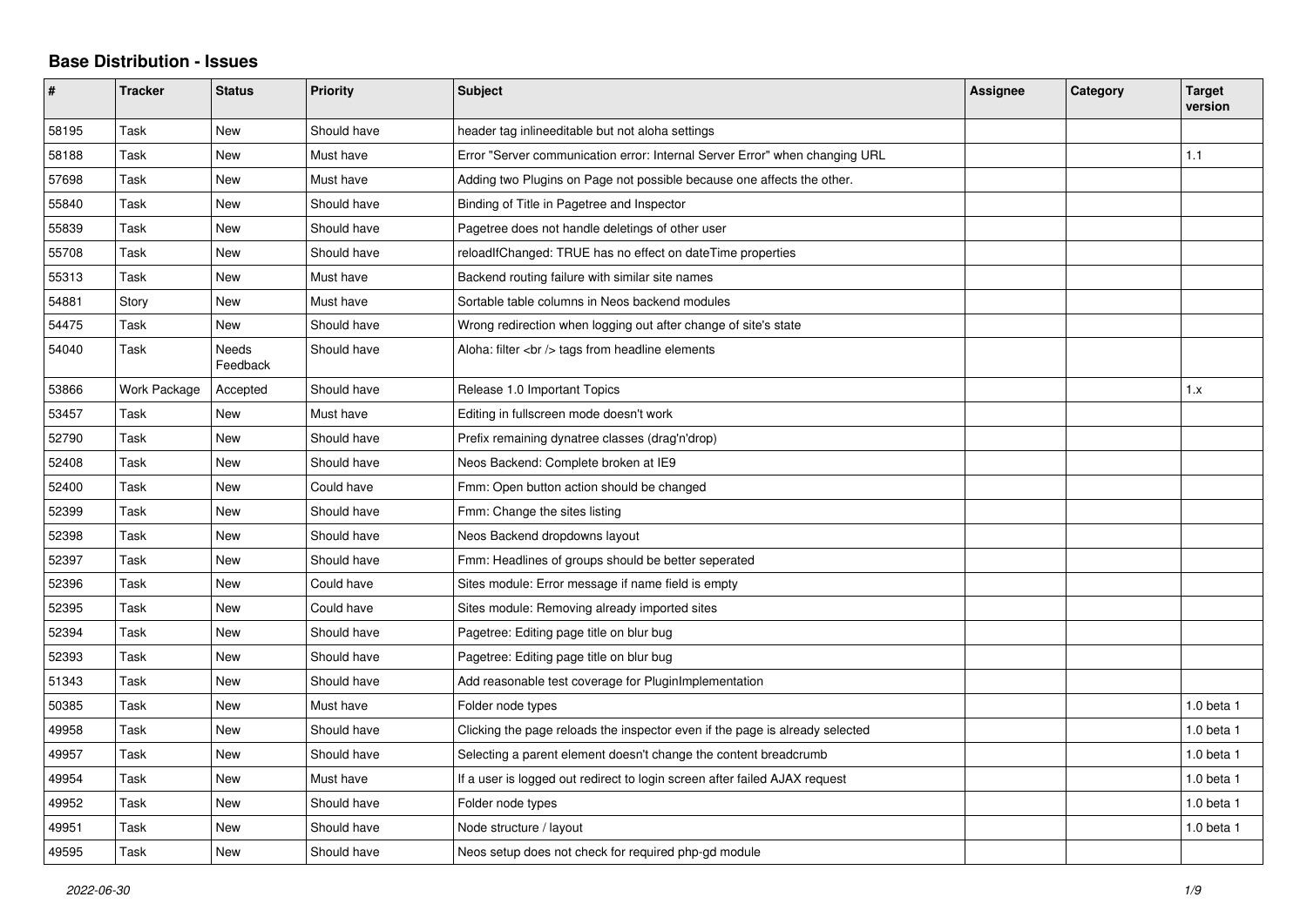## **Base Distribution - Issues**

| #     | <b>Tracker</b> | <b>Status</b>     | <b>Priority</b> | <b>Subject</b>                                                               | Assignee | Category | <b>Target</b><br>version |
|-------|----------------|-------------------|-----------------|------------------------------------------------------------------------------|----------|----------|--------------------------|
| 58195 | Task           | New               | Should have     | header tag inlineeditable but not aloha settings                             |          |          |                          |
| 58188 | Task           | <b>New</b>        | Must have       | Error "Server communication error: Internal Server Error" when changing URL  |          |          | 1.1                      |
| 57698 | Task           | <b>New</b>        | Must have       | Adding two Plugins on Page not possible because one affects the other.       |          |          |                          |
| 55840 | Task           | <b>New</b>        | Should have     | Binding of Title in Pagetree and Inspector                                   |          |          |                          |
| 55839 | Task           | <b>New</b>        | Should have     | Pagetree does not handle deletings of other user                             |          |          |                          |
| 55708 | Task           | <b>New</b>        | Should have     | reloadIfChanged: TRUE has no effect on dateTime properties                   |          |          |                          |
| 55313 | Task           | <b>New</b>        | Must have       | Backend routing failure with similar site names                              |          |          |                          |
| 54881 | Story          | New               | Must have       | Sortable table columns in Neos backend modules                               |          |          |                          |
| 54475 | Task           | New               | Should have     | Wrong redirection when logging out after change of site's state              |          |          |                          |
| 54040 | Task           | Needs<br>Feedback | Should have     | Aloha: filter $\langle$ br $/$ tags from headline elements                   |          |          |                          |
| 53866 | Work Package   | Accepted          | Should have     | Release 1.0 Important Topics                                                 |          |          | 1.x                      |
| 53457 | Task           | <b>New</b>        | Must have       | Editing in fullscreen mode doesn't work                                      |          |          |                          |
| 52790 | Task           | <b>New</b>        | Should have     | Prefix remaining dynatree classes (drag'n'drop)                              |          |          |                          |
| 52408 | Task           | <b>New</b>        | Should have     | Neos Backend: Complete broken at IE9                                         |          |          |                          |
| 52400 | Task           | <b>New</b>        | Could have      | Fmm: Open button action should be changed                                    |          |          |                          |
| 52399 | Task           | New               | Should have     | Fmm: Change the sites listing                                                |          |          |                          |
| 52398 | Task           | <b>New</b>        | Should have     | Neos Backend dropdowns layout                                                |          |          |                          |
| 52397 | Task           | <b>New</b>        | Should have     | Fmm: Headlines of groups should be better seperated                          |          |          |                          |
| 52396 | Task           | New               | Could have      | Sites module: Error message if name field is empty                           |          |          |                          |
| 52395 | Task           | <b>New</b>        | Could have      | Sites module: Removing already imported sites                                |          |          |                          |
| 52394 | Task           | New               | Should have     | Pagetree: Editing page title on blur bug                                     |          |          |                          |
| 52393 | Task           | New               | Should have     | Pagetree: Editing page title on blur bug                                     |          |          |                          |
| 51343 | Task           | New               | Should have     | Add reasonable test coverage for PluginImplementation                        |          |          |                          |
| 50385 | Task           | <b>New</b>        | Must have       | Folder node types                                                            |          |          | $1.0$ beta $1$           |
| 49958 | Task           | New               | Should have     | Clicking the page reloads the inspector even if the page is already selected |          |          | 1.0 beta 1               |
| 49957 | Task           | <b>New</b>        | Should have     | Selecting a parent element doesn't change the content breadcrumb             |          |          | 1.0 beta 1               |
| 49954 | Task           | New               | Must have       | If a user is logged out redirect to login screen after failed AJAX request   |          |          | 1.0 beta 1               |
| 49952 | Task           | <b>New</b>        | Should have     | Folder node types                                                            |          |          | 1.0 beta 1               |
| 49951 | Task           | New               | Should have     | Node structure / layout                                                      |          |          | 1.0 beta 1               |
| 49595 | Task           | <b>New</b>        | Should have     | Neos setup does not check for required php-gd module                         |          |          |                          |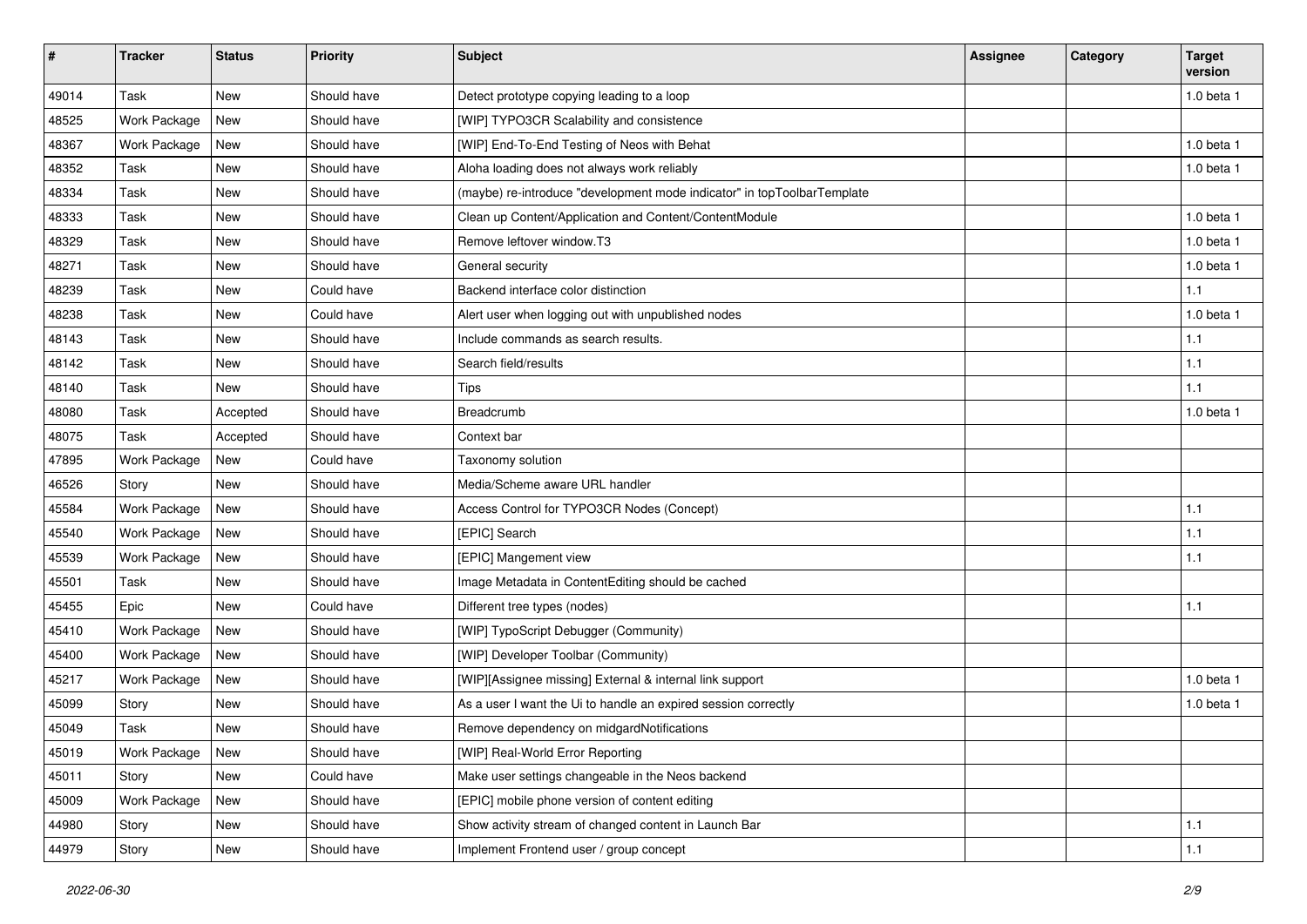| $\pmb{\#}$ | <b>Tracker</b> | <b>Status</b> | Priority    | <b>Subject</b>                                                          | <b>Assignee</b> | Category | <b>Target</b><br>version |
|------------|----------------|---------------|-------------|-------------------------------------------------------------------------|-----------------|----------|--------------------------|
| 49014      | Task           | <b>New</b>    | Should have | Detect prototype copying leading to a loop                              |                 |          | 1.0 beta 1               |
| 48525      | Work Package   | <b>New</b>    | Should have | [WIP] TYPO3CR Scalability and consistence                               |                 |          |                          |
| 48367      | Work Package   | <b>New</b>    | Should have | [WIP] End-To-End Testing of Neos with Behat                             |                 |          | 1.0 beta 1               |
| 48352      | Task           | New           | Should have | Aloha loading does not always work reliably                             |                 |          | 1.0 beta 1               |
| 48334      | Task           | <b>New</b>    | Should have | (maybe) re-introduce "development mode indicator" in topToolbarTemplate |                 |          |                          |
| 48333      | Task           | <b>New</b>    | Should have | Clean up Content/Application and Content/ContentModule                  |                 |          | 1.0 beta 1               |
| 48329      | Task           | New           | Should have | Remove leftover window.T3                                               |                 |          | $1.0$ beta $1$           |
| 48271      | Task           | New           | Should have | General security                                                        |                 |          | $1.0$ beta $1$           |
| 48239      | Task           | <b>New</b>    | Could have  | Backend interface color distinction                                     |                 |          | 1.1                      |
| 48238      | Task           | New           | Could have  | Alert user when logging out with unpublished nodes                      |                 |          | 1.0 beta 1               |
| 48143      | Task           | New           | Should have | Include commands as search results.                                     |                 |          | 1.1                      |
| 48142      | Task           | New           | Should have | Search field/results                                                    |                 |          | 1.1                      |
| 48140      | Task           | New           | Should have | <b>Tips</b>                                                             |                 |          | 1.1                      |
| 48080      | Task           | Accepted      | Should have | Breadcrumb                                                              |                 |          | 1.0 beta 1               |
| 48075      | Task           | Accepted      | Should have | Context bar                                                             |                 |          |                          |
| 47895      | Work Package   | <b>New</b>    | Could have  | Taxonomy solution                                                       |                 |          |                          |
| 46526      | Story          | <b>New</b>    | Should have | Media/Scheme aware URL handler                                          |                 |          |                          |
| 45584      | Work Package   | New           | Should have | Access Control for TYPO3CR Nodes (Concept)                              |                 |          | 1.1                      |
| 45540      | Work Package   | New           | Should have | [EPIC] Search                                                           |                 |          | 1.1                      |
| 45539      | Work Package   | <b>New</b>    | Should have | [EPIC] Mangement view                                                   |                 |          | 1.1                      |
| 45501      | Task           | New           | Should have | Image Metadata in ContentEditing should be cached                       |                 |          |                          |
| 45455      | Epic           | <b>New</b>    | Could have  | Different tree types (nodes)                                            |                 |          | 1.1                      |
| 45410      | Work Package   | New           | Should have | [WIP] TypoScript Debugger (Community)                                   |                 |          |                          |
| 45400      | Work Package   | New           | Should have | [WIP] Developer Toolbar (Community)                                     |                 |          |                          |
| 45217      | Work Package   | New           | Should have | [WIP][Assignee missing] External & internal link support                |                 |          | $1.0$ beta $1$           |
| 45099      | Story          | New           | Should have | As a user I want the Ui to handle an expired session correctly          |                 |          | $1.0$ beta $1$           |
| 45049      | Task           | New           | Should have | Remove dependency on midgardNotifications                               |                 |          |                          |
| 45019      | Work Package   | New           | Should have | [WIP] Real-World Error Reporting                                        |                 |          |                          |
| 45011      | Story          | New           | Could have  | Make user settings changeable in the Neos backend                       |                 |          |                          |
| 45009      | Work Package   | New           | Should have | [EPIC] mobile phone version of content editing                          |                 |          |                          |
| 44980      | Story          | New           | Should have | Show activity stream of changed content in Launch Bar                   |                 |          | 1.1                      |
| 44979      | Story          | New           | Should have | Implement Frontend user / group concept                                 |                 |          | $1.1$                    |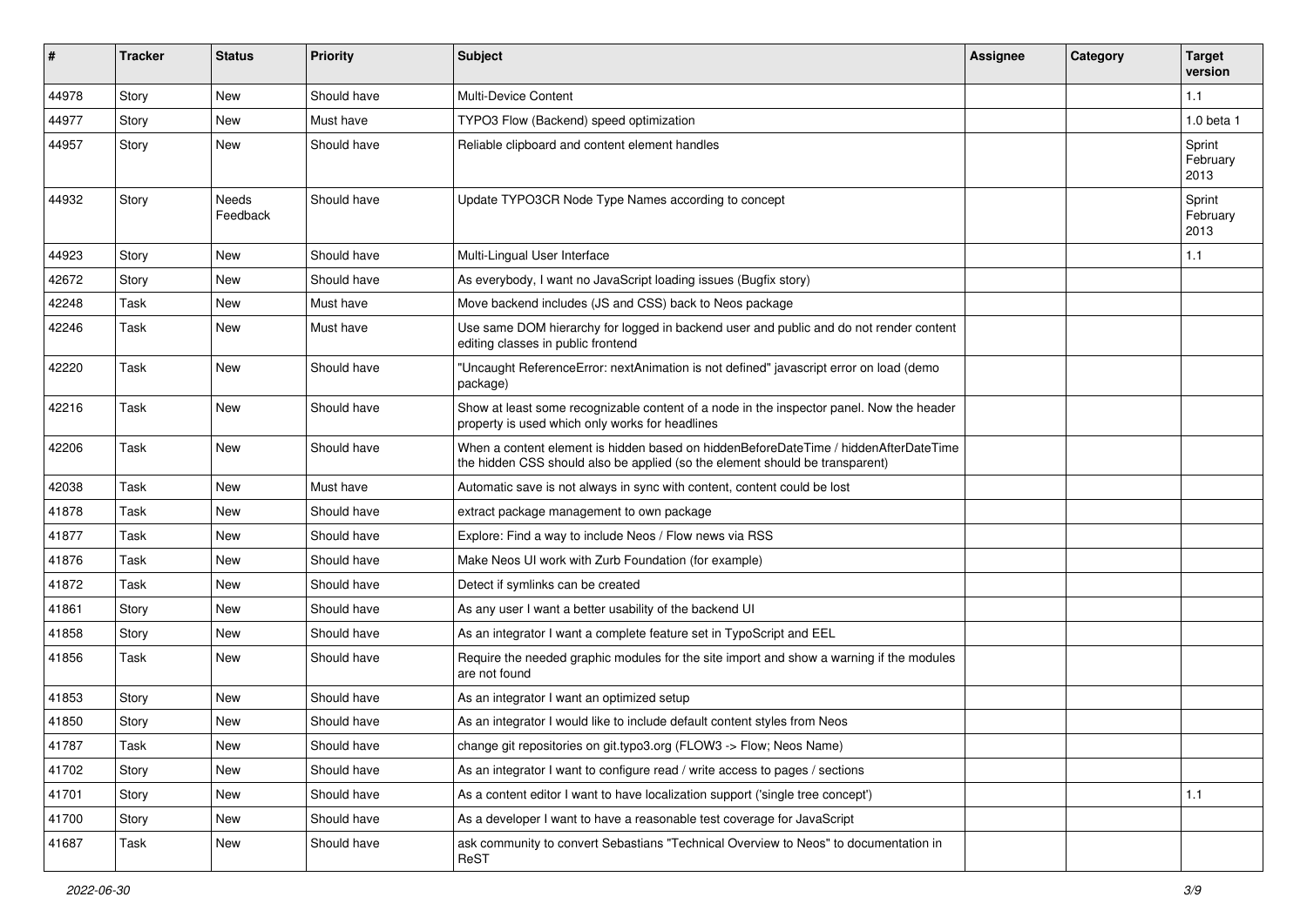| #     | <b>Tracker</b> | <b>Status</b>            | <b>Priority</b> | <b>Subject</b>                                                                                                                                                       | <b>Assignee</b> | Category | <b>Target</b><br>version   |
|-------|----------------|--------------------------|-----------------|----------------------------------------------------------------------------------------------------------------------------------------------------------------------|-----------------|----------|----------------------------|
| 44978 | Story          | <b>New</b>               | Should have     | <b>Multi-Device Content</b>                                                                                                                                          |                 |          | 1.1                        |
| 44977 | Story          | New                      | Must have       | TYPO3 Flow (Backend) speed optimization                                                                                                                              |                 |          | 1.0 beta 1                 |
| 44957 | Story          | <b>New</b>               | Should have     | Reliable clipboard and content element handles                                                                                                                       |                 |          | Sprint<br>February<br>2013 |
| 44932 | Story          | <b>Needs</b><br>Feedback | Should have     | Update TYPO3CR Node Type Names according to concept                                                                                                                  |                 |          | Sprint<br>February<br>2013 |
| 44923 | Story          | <b>New</b>               | Should have     | Multi-Lingual User Interface                                                                                                                                         |                 |          | $1.1$                      |
| 42672 | Story          | New                      | Should have     | As everybody, I want no JavaScript loading issues (Bugfix story)                                                                                                     |                 |          |                            |
| 42248 | Task           | <b>New</b>               | Must have       | Move backend includes (JS and CSS) back to Neos package                                                                                                              |                 |          |                            |
| 42246 | Task           | <b>New</b>               | Must have       | Use same DOM hierarchy for logged in backend user and public and do not render content<br>editing classes in public frontend                                         |                 |          |                            |
| 42220 | Task           | <b>New</b>               | Should have     | "Uncaught ReferenceError: nextAnimation is not defined" javascript error on load (demo<br>package)                                                                   |                 |          |                            |
| 42216 | Task           | <b>New</b>               | Should have     | Show at least some recognizable content of a node in the inspector panel. Now the header<br>property is used which only works for headlines                          |                 |          |                            |
| 42206 | Task           | <b>New</b>               | Should have     | When a content element is hidden based on hiddenBeforeDateTime / hiddenAfterDateTime<br>the hidden CSS should also be applied (so the element should be transparent) |                 |          |                            |
| 42038 | Task           | <b>New</b>               | Must have       | Automatic save is not always in sync with content, content could be lost                                                                                             |                 |          |                            |
| 41878 | Task           | <b>New</b>               | Should have     | extract package management to own package                                                                                                                            |                 |          |                            |
| 41877 | Task           | <b>New</b>               | Should have     | Explore: Find a way to include Neos / Flow news via RSS                                                                                                              |                 |          |                            |
| 41876 | Task           | <b>New</b>               | Should have     | Make Neos UI work with Zurb Foundation (for example)                                                                                                                 |                 |          |                            |
| 41872 | Task           | <b>New</b>               | Should have     | Detect if symlinks can be created                                                                                                                                    |                 |          |                            |
| 41861 | Story          | <b>New</b>               | Should have     | As any user I want a better usability of the backend UI                                                                                                              |                 |          |                            |
| 41858 | Story          | New                      | Should have     | As an integrator I want a complete feature set in TypoScript and EEL                                                                                                 |                 |          |                            |
| 41856 | Task           | <b>New</b>               | Should have     | Require the needed graphic modules for the site import and show a warning if the modules<br>are not found                                                            |                 |          |                            |
| 41853 | Story          | <b>New</b>               | Should have     | As an integrator I want an optimized setup                                                                                                                           |                 |          |                            |
| 41850 | Story          | New                      | Should have     | As an integrator I would like to include default content styles from Neos                                                                                            |                 |          |                            |
| 41787 | Task           | New                      | Should have     | change git repositories on git.typo3.org (FLOW3 -> Flow; Neos Name)                                                                                                  |                 |          |                            |
| 41702 | Story          | New                      | Should have     | As an integrator I want to configure read / write access to pages / sections                                                                                         |                 |          |                            |
| 41701 | Story          | New                      | Should have     | As a content editor I want to have localization support ('single tree concept')                                                                                      |                 |          | $1.1$                      |
| 41700 | Story          | New                      | Should have     | As a developer I want to have a reasonable test coverage for JavaScript                                                                                              |                 |          |                            |
| 41687 | Task           | New                      | Should have     | ask community to convert Sebastians "Technical Overview to Neos" to documentation in<br>ReST                                                                         |                 |          |                            |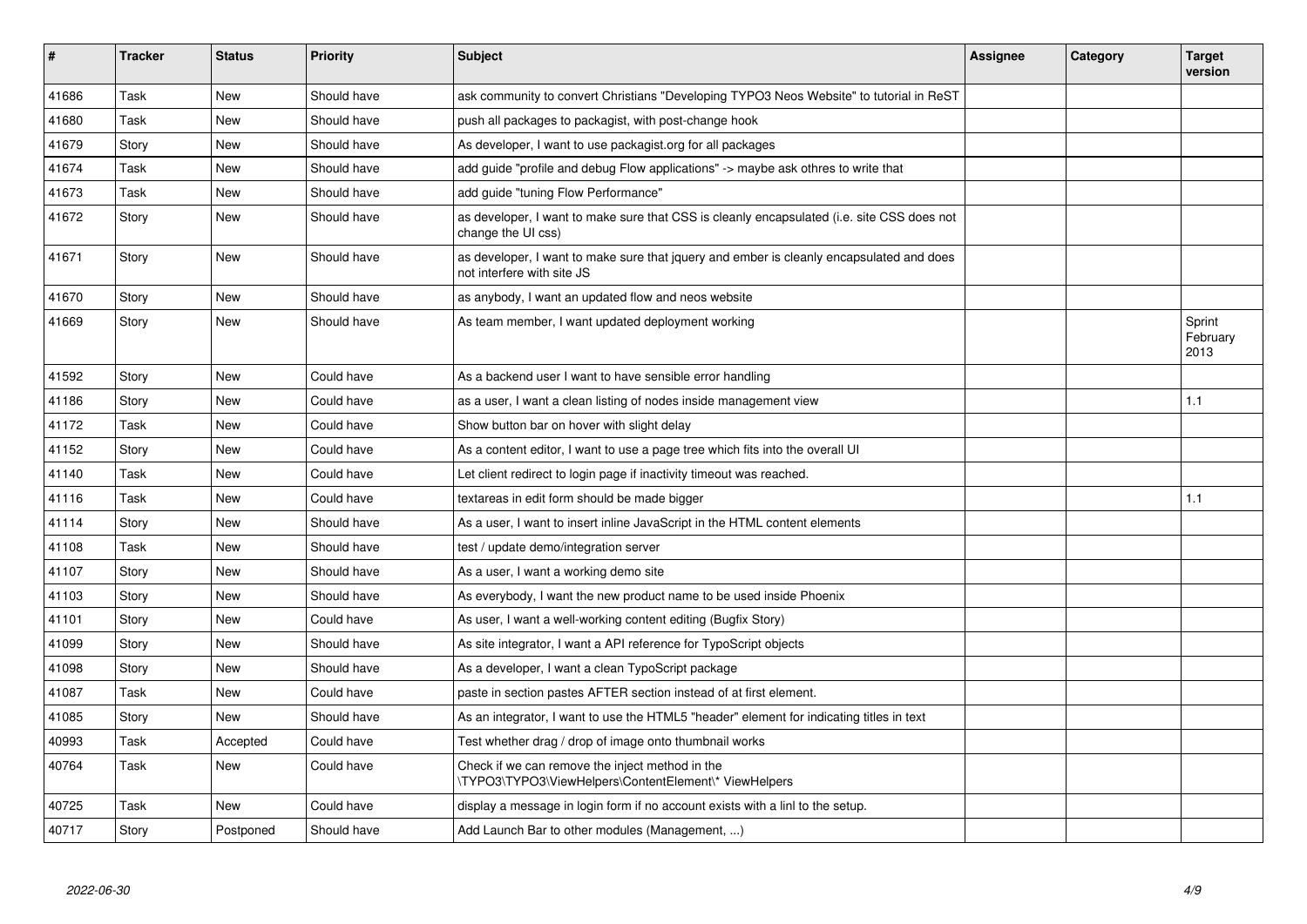| #     | <b>Tracker</b> | <b>Status</b> | <b>Priority</b> | <b>Subject</b>                                                                                                         | <b>Assignee</b> | Category | <b>Target</b><br>version   |
|-------|----------------|---------------|-----------------|------------------------------------------------------------------------------------------------------------------------|-----------------|----------|----------------------------|
| 41686 | Task           | <b>New</b>    | Should have     | ask community to convert Christians "Developing TYPO3 Neos Website" to tutorial in ReST                                |                 |          |                            |
| 41680 | Task           | New           | Should have     | push all packages to packagist, with post-change hook                                                                  |                 |          |                            |
| 41679 | Story          | <b>New</b>    | Should have     | As developer, I want to use packagist org for all packages                                                             |                 |          |                            |
| 41674 | Task           | New           | Should have     | add guide "profile and debug Flow applications" -> maybe ask othres to write that                                      |                 |          |                            |
| 41673 | Task           | <b>New</b>    | Should have     | add guide "tuning Flow Performance"                                                                                    |                 |          |                            |
| 41672 | Story          | New           | Should have     | as developer, I want to make sure that CSS is cleanly encapsulated (i.e. site CSS does not<br>change the UI css)       |                 |          |                            |
| 41671 | Story          | New           | Should have     | as developer, I want to make sure that jquery and ember is cleanly encapsulated and does<br>not interfere with site JS |                 |          |                            |
| 41670 | Story          | New           | Should have     | as anybody, I want an updated flow and neos website                                                                    |                 |          |                            |
| 41669 | Story          | New           | Should have     | As team member, I want updated deployment working                                                                      |                 |          | Sprint<br>February<br>2013 |
| 41592 | Story          | <b>New</b>    | Could have      | As a backend user I want to have sensible error handling                                                               |                 |          |                            |
| 41186 | Story          | <b>New</b>    | Could have      | as a user, I want a clean listing of nodes inside management view                                                      |                 |          | 1.1                        |
| 41172 | Task           | <b>New</b>    | Could have      | Show button bar on hover with slight delay                                                                             |                 |          |                            |
| 41152 | Story          | New           | Could have      | As a content editor, I want to use a page tree which fits into the overall UI                                          |                 |          |                            |
| 41140 | Task           | <b>New</b>    | Could have      | Let client redirect to login page if inactivity timeout was reached.                                                   |                 |          |                            |
| 41116 | Task           | <b>New</b>    | Could have      | textareas in edit form should be made bigger                                                                           |                 |          | 1.1                        |
| 41114 | Story          | <b>New</b>    | Should have     | As a user, I want to insert inline JavaScript in the HTML content elements                                             |                 |          |                            |
| 41108 | Task           | <b>New</b>    | Should have     | test / update demo/integration server                                                                                  |                 |          |                            |
| 41107 | Story          | <b>New</b>    | Should have     | As a user, I want a working demo site                                                                                  |                 |          |                            |
| 41103 | Story          | <b>New</b>    | Should have     | As everybody, I want the new product name to be used inside Phoenix                                                    |                 |          |                            |
| 41101 | Story          | <b>New</b>    | Could have      | As user, I want a well-working content editing (Bugfix Story)                                                          |                 |          |                            |
| 41099 | Story          | <b>New</b>    | Should have     | As site integrator, I want a API reference for TypoScript objects                                                      |                 |          |                            |
| 41098 | Story          | <b>New</b>    | Should have     | As a developer, I want a clean TypoScript package                                                                      |                 |          |                            |
| 41087 | Task           | <b>New</b>    | Could have      | paste in section pastes AFTER section instead of at first element.                                                     |                 |          |                            |
| 41085 | Story          | New           | Should have     | As an integrator, I want to use the HTML5 "header" element for indicating titles in text                               |                 |          |                            |
| 40993 | Task           | Accepted      | Could have      | Test whether drag / drop of image onto thumbnail works                                                                 |                 |          |                            |
| 40764 | Task           | New           | Could have      | Check if we can remove the inject method in the<br>\TYPO3\TYPO3\ViewHelpers\ContentElement\* ViewHelpers               |                 |          |                            |
| 40725 | Task           | New           | Could have      | display a message in login form if no account exists with a linl to the setup.                                         |                 |          |                            |
| 40717 | Story          | Postponed     | Should have     | Add Launch Bar to other modules (Management, )                                                                         |                 |          |                            |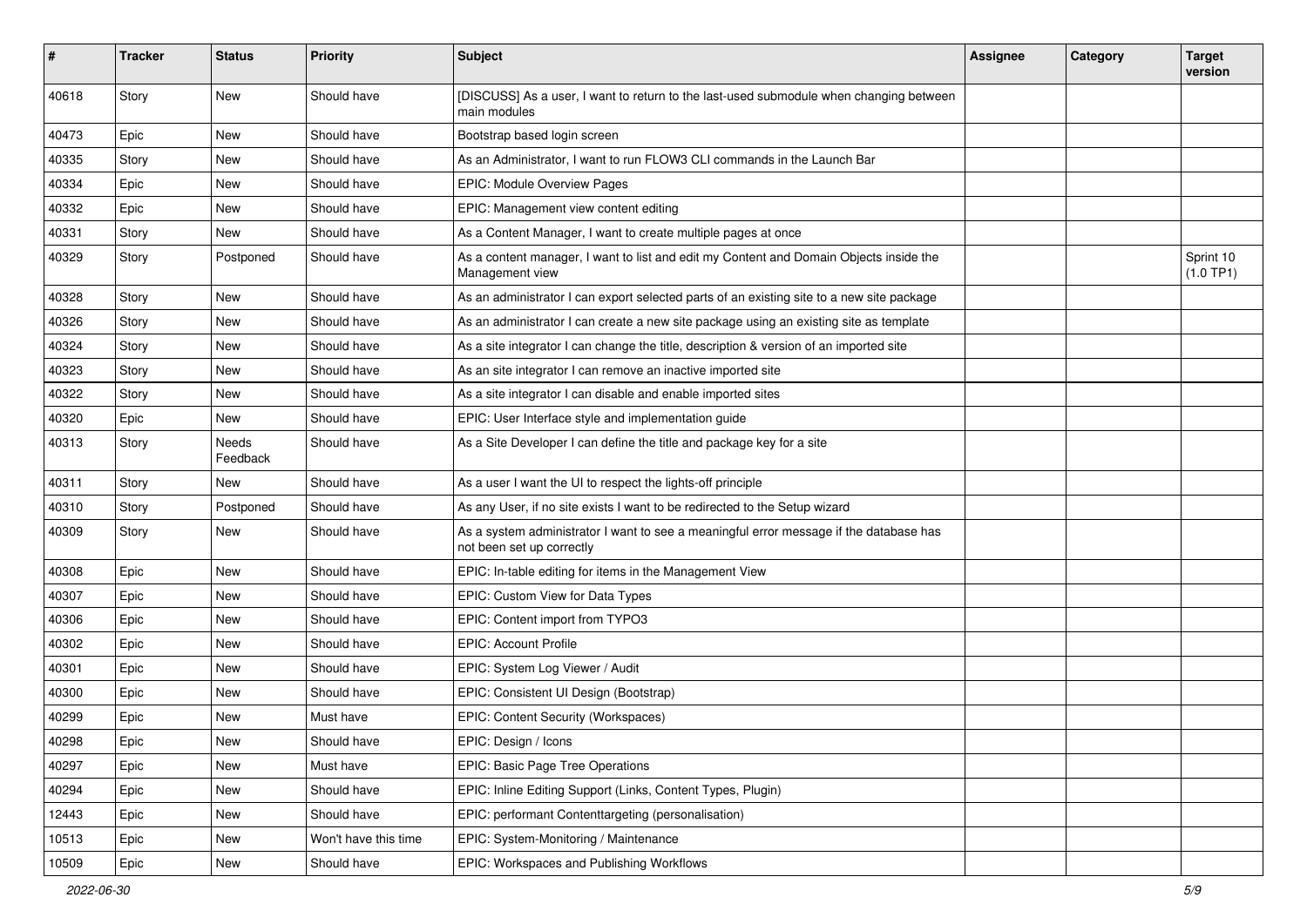| ∦     | <b>Tracker</b> | <b>Status</b>     | <b>Priority</b>      | Subject                                                                                                             | <b>Assignee</b> | Category | <b>Target</b><br>version |
|-------|----------------|-------------------|----------------------|---------------------------------------------------------------------------------------------------------------------|-----------------|----------|--------------------------|
| 40618 | Story          | <b>New</b>        | Should have          | [DISCUSS] As a user, I want to return to the last-used submodule when changing between<br>main modules              |                 |          |                          |
| 40473 | Epic           | New               | Should have          | Bootstrap based login screen                                                                                        |                 |          |                          |
| 40335 | Story          | <b>New</b>        | Should have          | As an Administrator, I want to run FLOW3 CLI commands in the Launch Bar                                             |                 |          |                          |
| 40334 | Epic           | New               | Should have          | <b>EPIC: Module Overview Pages</b>                                                                                  |                 |          |                          |
| 40332 | Epic           | New               | Should have          | EPIC: Management view content editing                                                                               |                 |          |                          |
| 40331 | Story          | New               | Should have          | As a Content Manager, I want to create multiple pages at once                                                       |                 |          |                          |
| 40329 | Story          | Postponed         | Should have          | As a content manager, I want to list and edit my Content and Domain Objects inside the<br>Management view           |                 |          | Sprint 10<br>(1.0 TP1)   |
| 40328 | Story          | New               | Should have          | As an administrator I can export selected parts of an existing site to a new site package                           |                 |          |                          |
| 40326 | Story          | New               | Should have          | As an administrator I can create a new site package using an existing site as template                              |                 |          |                          |
| 40324 | Story          | New               | Should have          | As a site integrator I can change the title, description & version of an imported site                              |                 |          |                          |
| 40323 | Story          | New               | Should have          | As an site integrator I can remove an inactive imported site                                                        |                 |          |                          |
| 40322 | Story          | <b>New</b>        | Should have          | As a site integrator I can disable and enable imported sites                                                        |                 |          |                          |
| 40320 | Epic           | New               | Should have          | EPIC: User Interface style and implementation quide                                                                 |                 |          |                          |
| 40313 | Story          | Needs<br>Feedback | Should have          | As a Site Developer I can define the title and package key for a site                                               |                 |          |                          |
| 40311 | Story          | New               | Should have          | As a user I want the UI to respect the lights-off principle                                                         |                 |          |                          |
| 40310 | Story          | Postponed         | Should have          | As any User, if no site exists I want to be redirected to the Setup wizard                                          |                 |          |                          |
| 40309 | Story          | New               | Should have          | As a system administrator I want to see a meaningful error message if the database has<br>not been set up correctly |                 |          |                          |
| 40308 | Epic           | <b>New</b>        | Should have          | EPIC: In-table editing for items in the Management View                                                             |                 |          |                          |
| 40307 | Epic           | New               | Should have          | EPIC: Custom View for Data Types                                                                                    |                 |          |                          |
| 40306 | Epic           | New               | Should have          | EPIC: Content import from TYPO3                                                                                     |                 |          |                          |
| 40302 | Epic           | New               | Should have          | <b>EPIC: Account Profile</b>                                                                                        |                 |          |                          |
| 40301 | Epic           | New               | Should have          | EPIC: System Log Viewer / Audit                                                                                     |                 |          |                          |
| 40300 | Epic           | New               | Should have          | EPIC: Consistent UI Design (Bootstrap)                                                                              |                 |          |                          |
| 40299 | Epic           | New               | Must have            | EPIC: Content Security (Workspaces)                                                                                 |                 |          |                          |
| 40298 | Epic           | New               | Should have          | EPIC: Design / Icons                                                                                                |                 |          |                          |
| 40297 | Epic           | New               | Must have            | EPIC: Basic Page Tree Operations                                                                                    |                 |          |                          |
| 40294 | Epic           | New               | Should have          | EPIC: Inline Editing Support (Links, Content Types, Plugin)                                                         |                 |          |                          |
| 12443 | Epic           | New               | Should have          | EPIC: performant Contenttargeting (personalisation)                                                                 |                 |          |                          |
| 10513 | Epic           | New               | Won't have this time | EPIC: System-Monitoring / Maintenance                                                                               |                 |          |                          |
| 10509 | Epic           | New               | Should have          | EPIC: Workspaces and Publishing Workflows                                                                           |                 |          |                          |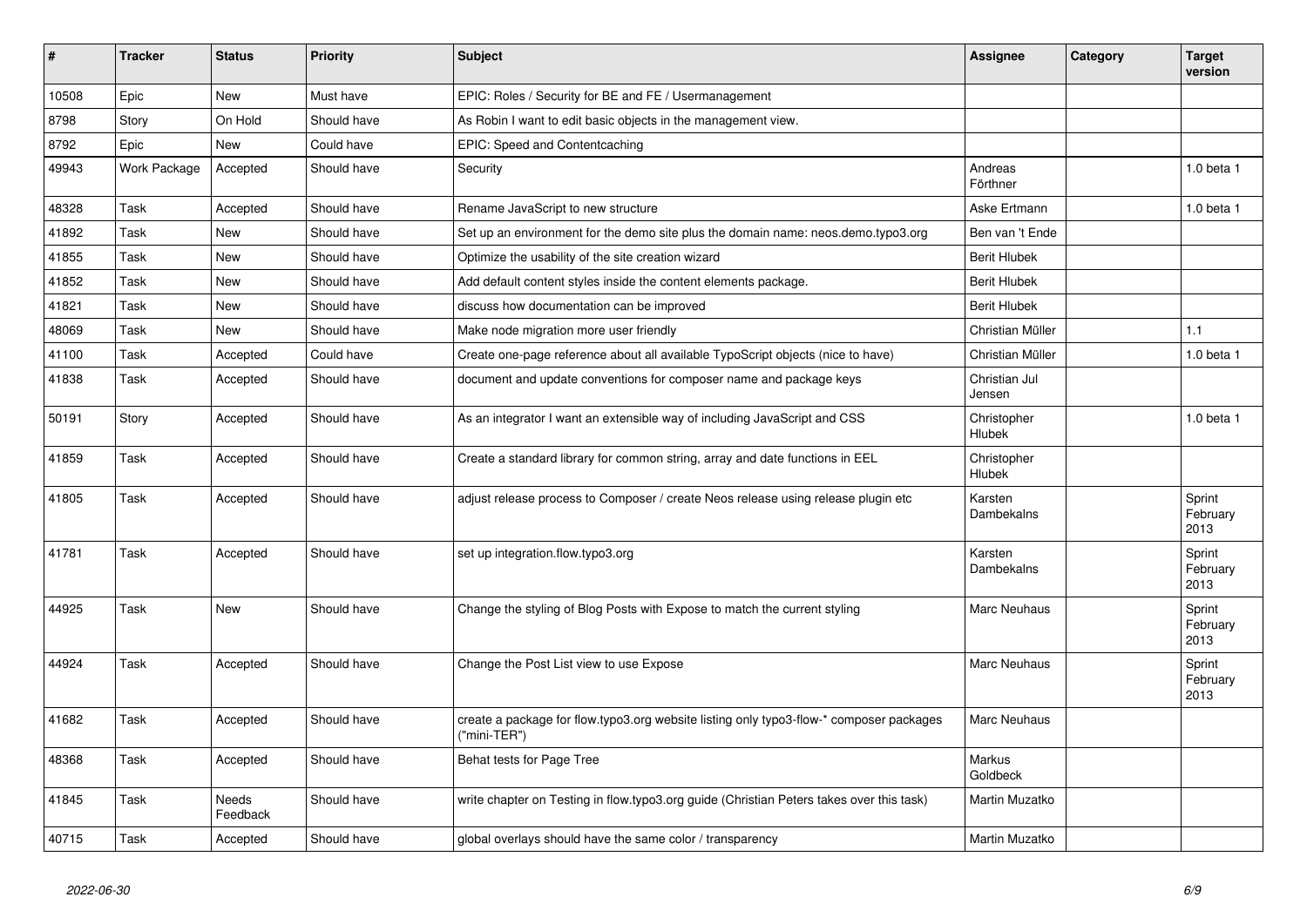| #     | <b>Tracker</b> | <b>Status</b>     | <b>Priority</b> | <b>Subject</b>                                                                                          | <b>Assignee</b>         | Category | <b>Target</b><br>version   |
|-------|----------------|-------------------|-----------------|---------------------------------------------------------------------------------------------------------|-------------------------|----------|----------------------------|
| 10508 | Epic           | <b>New</b>        | Must have       | EPIC: Roles / Security for BE and FE / Usermanagement                                                   |                         |          |                            |
| 8798  | Story          | On Hold           | Should have     | As Robin I want to edit basic objects in the management view.                                           |                         |          |                            |
| 8792  | Epic           | <b>New</b>        | Could have      | EPIC: Speed and Contentcaching                                                                          |                         |          |                            |
| 49943 | Work Package   | Accepted          | Should have     | Security                                                                                                | Andreas<br>Förthner     |          | 1.0 beta 1                 |
| 48328 | Task           | Accepted          | Should have     | Rename JavaScript to new structure                                                                      | Aske Ertmann            |          | 1.0 beta 1                 |
| 41892 | Task           | <b>New</b>        | Should have     | Set up an environment for the demo site plus the domain name: neos.demo.typo3.org                       | Ben van 't Ende         |          |                            |
| 41855 | Task           | <b>New</b>        | Should have     | Optimize the usability of the site creation wizard                                                      | <b>Berit Hlubek</b>     |          |                            |
| 41852 | Task           | <b>New</b>        | Should have     | Add default content styles inside the content elements package.                                         | <b>Berit Hlubek</b>     |          |                            |
| 41821 | Task           | <b>New</b>        | Should have     | discuss how documentation can be improved                                                               | <b>Berit Hlubek</b>     |          |                            |
| 48069 | Task           | <b>New</b>        | Should have     | Make node migration more user friendly                                                                  | Christian Müller        |          | 1.1                        |
| 41100 | Task           | Accepted          | Could have      | Create one-page reference about all available TypoScript objects (nice to have)                         | Christian Müller        |          | $1.0$ beta $1$             |
| 41838 | Task           | Accepted          | Should have     | document and update conventions for composer name and package keys                                      | Christian Jul<br>Jensen |          |                            |
| 50191 | Story          | Accepted          | Should have     | As an integrator I want an extensible way of including JavaScript and CSS                               | Christopher<br>Hlubek   |          | $1.0$ beta $1$             |
| 41859 | Task           | Accepted          | Should have     | Create a standard library for common string, array and date functions in EEL                            | Christopher<br>Hlubek   |          |                            |
| 41805 | Task           | Accepted          | Should have     | adjust release process to Composer / create Neos release using release plugin etc                       | Karsten<br>Dambekalns   |          | Sprint<br>February<br>2013 |
| 41781 | Task           | Accepted          | Should have     | set up integration.flow.typo3.org                                                                       | Karsten<br>Dambekalns   |          | Sprint<br>February<br>2013 |
| 44925 | Task           | <b>New</b>        | Should have     | Change the styling of Blog Posts with Expose to match the current styling                               | Marc Neuhaus            |          | Sprint<br>February<br>2013 |
| 44924 | Task           | Accepted          | Should have     | Change the Post List view to use Expose                                                                 | <b>Marc Neuhaus</b>     |          | Sprint<br>February<br>2013 |
| 41682 | Task           | Accepted          | Should have     | create a package for flow.typo3.org website listing only typo3-flow-* composer packages<br>("mini-TER") | <b>Marc Neuhaus</b>     |          |                            |
| 48368 | Task           | Accepted          | Should have     | Behat tests for Page Tree                                                                               | Markus<br>Goldbeck      |          |                            |
| 41845 | Task           | Needs<br>Feedback | Should have     | write chapter on Testing in flow.typo3.org guide (Christian Peters takes over this task)                | Martin Muzatko          |          |                            |
| 40715 | Task           | Accepted          | Should have     | global overlays should have the same color / transparency                                               | Martin Muzatko          |          |                            |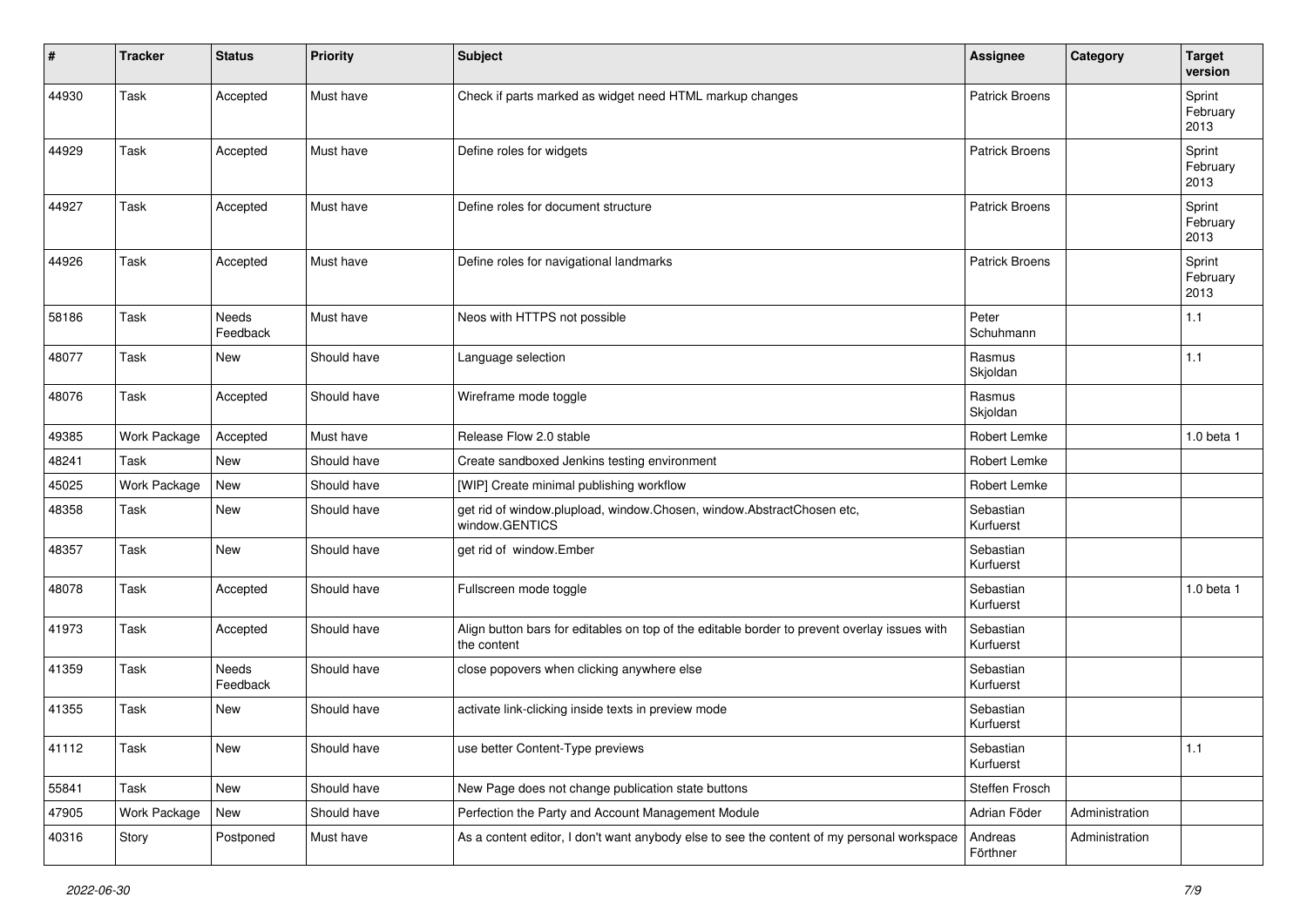| #     | <b>Tracker</b> | <b>Status</b>     | <b>Priority</b> | <b>Subject</b>                                                                                              | Assignee               | Category       | <b>Target</b><br>version   |
|-------|----------------|-------------------|-----------------|-------------------------------------------------------------------------------------------------------------|------------------------|----------------|----------------------------|
| 44930 | Task           | Accepted          | Must have       | Check if parts marked as widget need HTML markup changes                                                    | <b>Patrick Broens</b>  |                | Sprint<br>February<br>2013 |
| 44929 | Task           | Accepted          | Must have       | Define roles for widgets                                                                                    | <b>Patrick Broens</b>  |                | Sprint<br>February<br>2013 |
| 44927 | Task           | Accepted          | Must have       | Define roles for document structure                                                                         | <b>Patrick Broens</b>  |                | Sprint<br>February<br>2013 |
| 44926 | Task           | Accepted          | Must have       | Define roles for navigational landmarks                                                                     | <b>Patrick Broens</b>  |                | Sprint<br>February<br>2013 |
| 58186 | Task           | Needs<br>Feedback | Must have       | Neos with HTTPS not possible                                                                                | Peter<br>Schuhmann     |                | 1.1                        |
| 48077 | Task           | <b>New</b>        | Should have     | Language selection                                                                                          | Rasmus<br>Skjoldan     |                | $1.1$                      |
| 48076 | Task           | Accepted          | Should have     | Wireframe mode toggle                                                                                       | Rasmus<br>Skjoldan     |                |                            |
| 49385 | Work Package   | Accepted          | Must have       | Release Flow 2.0 stable                                                                                     | Robert Lemke           |                | 1.0 beta 1                 |
| 48241 | Task           | <b>New</b>        | Should have     | Create sandboxed Jenkins testing environment                                                                | Robert Lemke           |                |                            |
| 45025 | Work Package   | New               | Should have     | [WIP] Create minimal publishing workflow                                                                    | Robert Lemke           |                |                            |
| 48358 | Task           | <b>New</b>        | Should have     | get rid of window.plupload, window.Chosen, window.AbstractChosen etc,<br>window.GENTICS                     | Sebastian<br>Kurfuerst |                |                            |
| 48357 | Task           | New               | Should have     | get rid of window.Ember                                                                                     | Sebastian<br>Kurfuerst |                |                            |
| 48078 | Task           | Accepted          | Should have     | Fullscreen mode toggle                                                                                      | Sebastian<br>Kurfuerst |                | 1.0 beta 1                 |
| 41973 | Task           | Accepted          | Should have     | Align button bars for editables on top of the editable border to prevent overlay issues with<br>the content | Sebastian<br>Kurfuerst |                |                            |
| 41359 | Task           | Needs<br>Feedback | Should have     | close popovers when clicking anywhere else                                                                  | Sebastian<br>Kurfuerst |                |                            |
| 41355 | Task           | New               | Should have     | activate link-clicking inside texts in preview mode                                                         | Sebastian<br>Kurfuerst |                |                            |
| 41112 | Task           | New               | Should have     | use better Content-Type previews                                                                            | Sebastian<br>Kurfuerst |                | 1.1                        |
| 55841 | Task           | New               | Should have     | New Page does not change publication state buttons                                                          | Steffen Frosch         |                |                            |
| 47905 | Work Package   | New               | Should have     | Perfection the Party and Account Management Module                                                          | Adrian Föder           | Administration |                            |
| 40316 | Story          | Postponed         | Must have       | As a content editor, I don't want anybody else to see the content of my personal workspace                  | Andreas<br>Förthner    | Administration |                            |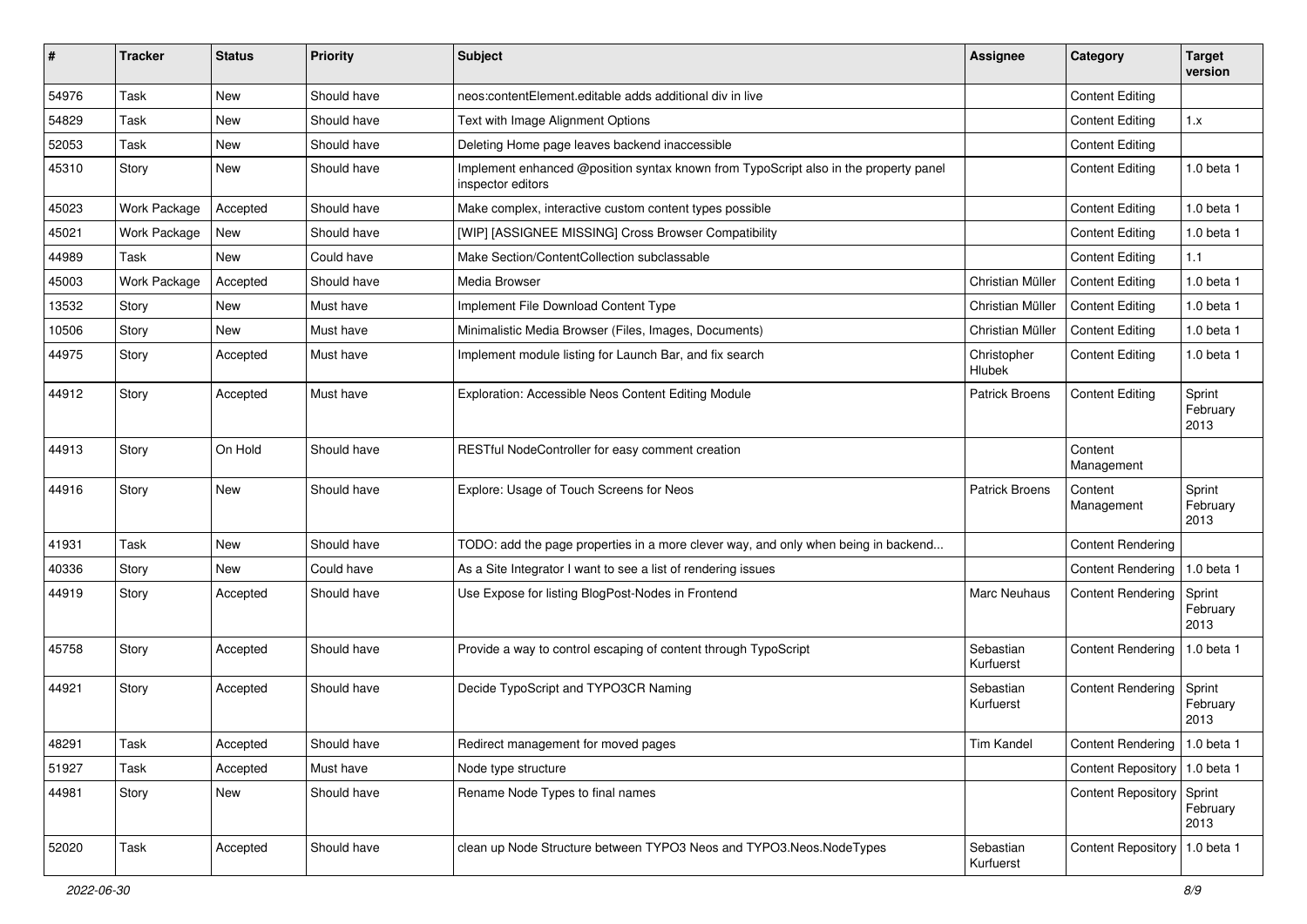| #     | <b>Tracker</b> | <b>Status</b> | <b>Priority</b> | <b>Subject</b>                                                                                            | Assignee               | Category                        | <b>Target</b><br>version   |
|-------|----------------|---------------|-----------------|-----------------------------------------------------------------------------------------------------------|------------------------|---------------------------------|----------------------------|
| 54976 | Task           | <b>New</b>    | Should have     | neos:contentElement.editable adds additional div in live                                                  |                        | <b>Content Editing</b>          |                            |
| 54829 | Task           | New           | Should have     | Text with Image Alignment Options                                                                         |                        | <b>Content Editing</b>          | 1.x                        |
| 52053 | Task           | New           | Should have     | Deleting Home page leaves backend inaccessible                                                            |                        | <b>Content Editing</b>          |                            |
| 45310 | Story          | <b>New</b>    | Should have     | Implement enhanced @position syntax known from TypoScript also in the property panel<br>inspector editors |                        | <b>Content Editing</b>          | $1.0$ beta $1$             |
| 45023 | Work Package   | Accepted      | Should have     | Make complex, interactive custom content types possible                                                   |                        | <b>Content Editing</b>          | 1.0 beta 1                 |
| 45021 | Work Package   | <b>New</b>    | Should have     | [WIP] [ASSIGNEE MISSING] Cross Browser Compatibility                                                      |                        | <b>Content Editing</b>          | 1.0 beta 1                 |
| 44989 | Task           | <b>New</b>    | Could have      | Make Section/ContentCollection subclassable                                                               |                        | <b>Content Editing</b>          | 1.1                        |
| 45003 | Work Package   | Accepted      | Should have     | Media Browser                                                                                             | Christian Müller       | <b>Content Editing</b>          | 1.0 beta 1                 |
| 13532 | Story          | <b>New</b>    | Must have       | Implement File Download Content Type                                                                      | Christian Müller       | <b>Content Editing</b>          | 1.0 beta 1                 |
| 10506 | Story          | <b>New</b>    | Must have       | Minimalistic Media Browser (Files, Images, Documents)                                                     | Christian Müller       | <b>Content Editing</b>          | 1.0 beta 1                 |
| 44975 | Story          | Accepted      | Must have       | Implement module listing for Launch Bar, and fix search                                                   | Christopher<br>Hlubek  | <b>Content Editing</b>          | 1.0 beta 1                 |
| 44912 | Story          | Accepted      | Must have       | Exploration: Accessible Neos Content Editing Module                                                       | <b>Patrick Broens</b>  | <b>Content Editing</b>          | Sprint<br>February<br>2013 |
| 44913 | Story          | On Hold       | Should have     | RESTful NodeController for easy comment creation                                                          |                        | Content<br>Management           |                            |
| 44916 | Story          | <b>New</b>    | Should have     | Explore: Usage of Touch Screens for Neos                                                                  | <b>Patrick Broens</b>  | Content<br>Management           | Sprint<br>February<br>2013 |
| 41931 | Task           | <b>New</b>    | Should have     | TODO: add the page properties in a more clever way, and only when being in backend                        |                        | <b>Content Rendering</b>        |                            |
| 40336 | Story          | <b>New</b>    | Could have      | As a Site Integrator I want to see a list of rendering issues                                             |                        | <b>Content Rendering</b>        | 1.0 beta 1                 |
| 44919 | Story          | Accepted      | Should have     | Use Expose for listing BlogPost-Nodes in Frontend                                                         | <b>Marc Neuhaus</b>    | <b>Content Rendering</b>        | Sprint<br>February<br>2013 |
| 45758 | Story          | Accepted      | Should have     | Provide a way to control escaping of content through TypoScript                                           | Sebastian<br>Kurfuerst | <b>Content Rendering</b>        | 1.0 beta 1                 |
| 44921 | Story          | Accepted      | Should have     | Decide TypoScript and TYPO3CR Naming                                                                      | Sebastian<br>Kurfuerst | <b>Content Rendering</b>        | Sprint<br>February<br>2013 |
| 48291 | Task           | Accepted      | Should have     | Redirect management for moved pages                                                                       | <b>Tim Kandel</b>      | Content Rendering   1.0 beta 1  |                            |
| 51927 | Task           | Accepted      | Must have       | Node type structure                                                                                       |                        | Content Repository   1.0 beta 1 |                            |
| 44981 | Story          | New           | Should have     | Rename Node Types to final names                                                                          |                        | <b>Content Repository</b>       | Sprint<br>February<br>2013 |
| 52020 | Task           | Accepted      | Should have     | clean up Node Structure between TYPO3 Neos and TYPO3.Neos.NodeTypes                                       | Sebastian<br>Kurfuerst | <b>Content Repository</b>       | 1.0 beta 1                 |